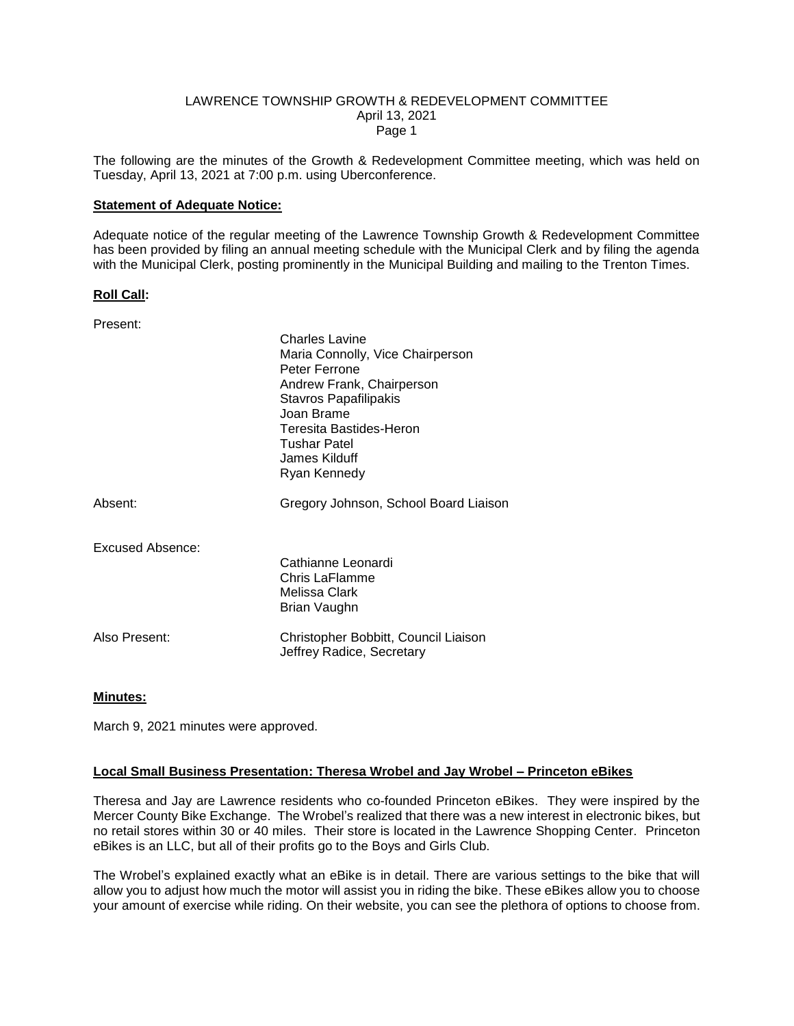#### LAWRENCE TOWNSHIP GROWTH & REDEVELOPMENT COMMITTEE April 13, 2021 Page 1

The following are the minutes of the Growth & Redevelopment Committee meeting, which was held on Tuesday, April 13, 2021 at 7:00 p.m. using Uberconference.

### **Statement of Adequate Notice:**

Adequate notice of the regular meeting of the Lawrence Township Growth & Redevelopment Committee has been provided by filing an annual meeting schedule with the Municipal Clerk and by filing the agenda with the Municipal Clerk, posting prominently in the Municipal Building and mailing to the Trenton Times.

#### **Roll Call:**

| Present:         |                                                                                                                                                                                                                                   |
|------------------|-----------------------------------------------------------------------------------------------------------------------------------------------------------------------------------------------------------------------------------|
|                  | Charles Lavine<br>Maria Connolly, Vice Chairperson<br>Peter Ferrone<br>Andrew Frank, Chairperson<br><b>Stavros Papafilipakis</b><br>Joan Brame<br>Teresita Bastides-Heron<br><b>Tushar Patel</b><br>James Kilduff<br>Ryan Kennedy |
| Absent:          | Gregory Johnson, School Board Liaison                                                                                                                                                                                             |
| Excused Absence: | Cathianne Leonardi<br>Chris LaFlamme<br>Melissa Clark<br>Brian Vaughn                                                                                                                                                             |
| Also Present:    | Christopher Bobbitt, Council Liaison<br>Jeffrey Radice, Secretary                                                                                                                                                                 |

# **Minutes:**

March 9, 2021 minutes were approved.

# **Local Small Business Presentation: Theresa Wrobel and Jay Wrobel – Princeton eBikes**

Theresa and Jay are Lawrence residents who co-founded Princeton eBikes. They were inspired by the Mercer County Bike Exchange. The Wrobel's realized that there was a new interest in electronic bikes, but no retail stores within 30 or 40 miles. Their store is located in the Lawrence Shopping Center. Princeton eBikes is an LLC, but all of their profits go to the Boys and Girls Club.

The Wrobel's explained exactly what an eBike is in detail. There are various settings to the bike that will allow you to adjust how much the motor will assist you in riding the bike. These eBikes allow you to choose your amount of exercise while riding. On their website, you can see the plethora of options to choose from.